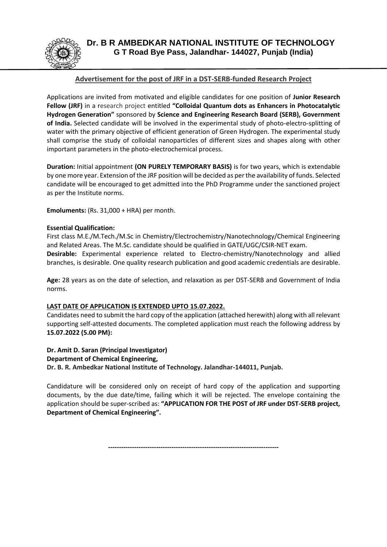

## **Advertisement for the post of JRF in a DST-SERB-funded Research Project**

Applications are invited from motivated and eligible candidates for one position of **Junior Research Fellow (JRF)** in a research project entitled **"Colloidal Quantum dots as Enhancers in Photocatalytic Hydrogen Generation"** sponsored by **Science and Engineering Research Board (SERB), Government of India.** Selected candidate will be involved in the experimental study of photo-electro-splitting of water with the primary objective of efficient generation of Green Hydrogen. The experimental study shall comprise the study of colloidal nanoparticles of different sizes and shapes along with other important parameters in the photo-electrochemical process.

**Duration:** Initial appointment **(ON PURELY TEMPORARY BASIS)** is for two years, which is extendable by one more year. Extension of the JRF position will be decided as per the availability of funds. Selected candidate will be encouraged to get admitted into the PhD Programme under the sanctioned project as per the Institute norms.

**Emoluments:** (Rs. 31,000 + HRA) per month.

## **Essential Qualification:**

First class M.E./M.Tech./M.Sc in Chemistry/Electrochemistry/Nanotechnology/Chemical Engineering and Related Areas. The M.Sc. candidate should be qualified in GATE/UGC/CSIR-NET exam. **Desirable:** Experimental experience related to Electro-chemistry/Nanotechnology and allied branches, is desirable. One quality research publication and good academic credentials are desirable.

**Age:** 28 years as on the date of selection, and relaxation as per DST-SERB and Government of India norms.

## **LAST DATE OF APPLICATION IS EXTENDED UPTO 15.07.2022.**

Candidates need to submit the hard copy of the application (attached herewith) along with all relevant supporting self-attested documents. The completed application must reach the following address by **15.07.2022 (5.00 PM):**

**Dr. Amit D. Saran (Principal Investigator) Department of Chemical Engineering, Dr. B. R. Ambedkar National Institute of Technology. Jalandhar-144011, Punjab.**

Candidature will be considered only on receipt of hard copy of the application and supporting documents, by the due date/time, failing which it will be rejected. The envelope containing the application should be super-scribed as: **"APPLICATION FOR THE POST of JRF under DST-SERB project, Department of Chemical Engineering".**

**------------------------------------------------------------------------------**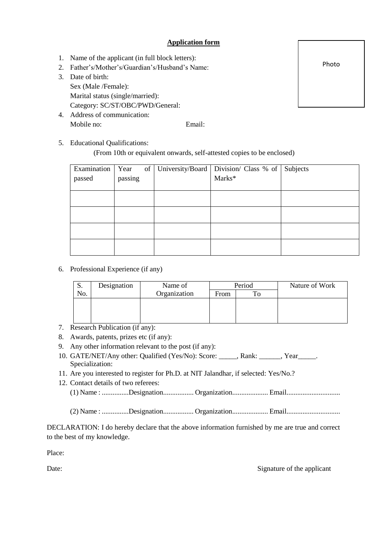## **Application form**

- 1. Name of the applicant (in full block letters):
- 2. Father's/Mother's/Guardian's/Husband's Name:
- 3. Date of birth: Sex (Male /Female): Marital status (single/married): Category: SC/ST/OBC/PWD/General:
- 4. Address of communication: Mobile no: Email:

5. Educational Qualifications:

(From 10th or equivalent onwards, self-attested copies to be enclosed)

| Examination | Year    |  | of   University/Board   Division/ Class % of   Subjects |  |
|-------------|---------|--|---------------------------------------------------------|--|
| passed      | passing |  | Marks*                                                  |  |
|             |         |  |                                                         |  |
|             |         |  |                                                         |  |
|             |         |  |                                                         |  |
|             |         |  |                                                         |  |
|             |         |  |                                                         |  |
|             |         |  |                                                         |  |
|             |         |  |                                                         |  |
|             |         |  |                                                         |  |

6. Professional Experience (if any)

| ມ.  | Designation | Name of      | Period |  | Nature of Work |
|-----|-------------|--------------|--------|--|----------------|
| No. |             | Organization | From   |  |                |
|     |             |              |        |  |                |
|     |             |              |        |  |                |
|     |             |              |        |  |                |

- 7. Research Publication (if any):
- 8. Awards, patents, prizes etc (if any):
- 9. Any other information relevant to the post (if any):
- 10. GATE/NET/Any other: Qualified (Yes/No): Score: \_\_\_\_\_, Rank: \_\_\_\_\_\_, Year\_\_\_\_\_. Specialization:
- 11. Are you interested to register for Ph.D. at NIT Jalandhar, if selected: Yes/No.?
- 12. Contact details of two referees:
	- (1) Name : ...............Designation................. Organization.................... Email..............................

(2) Name : ...............Designation................. Organization.................... Email..............................

DECLARATION: I do hereby declare that the above information furnished by me are true and correct to the best of my knowledge.

Place:

Date: Signature of the applicant

Photo